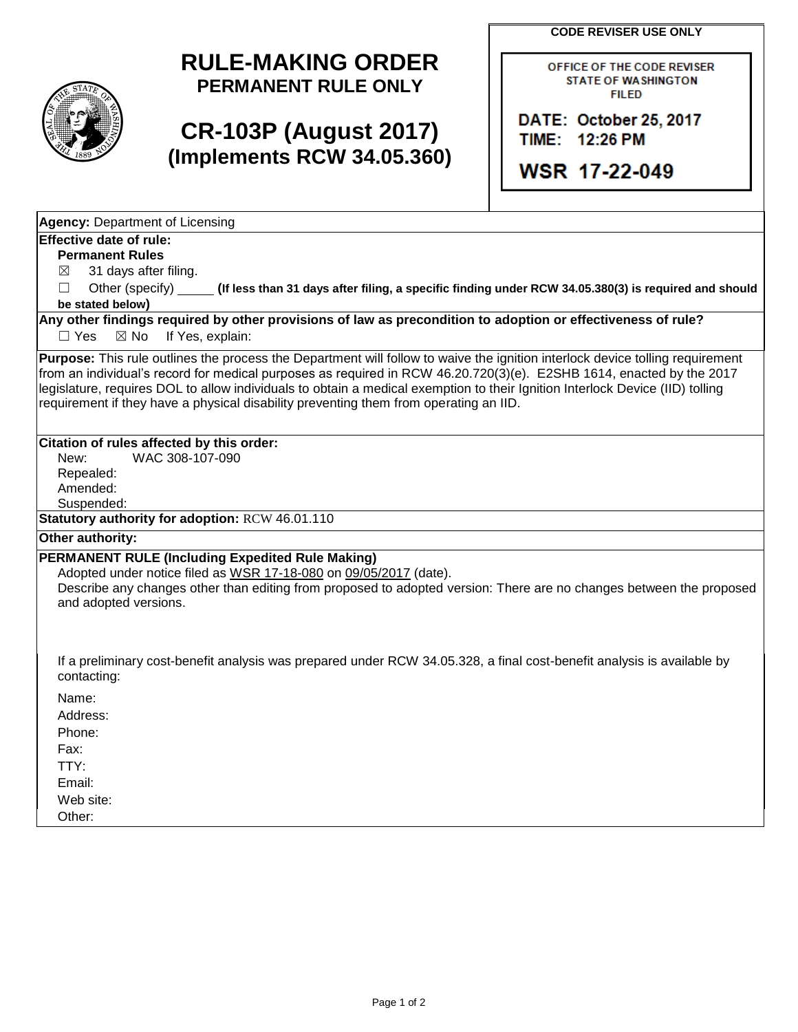**CODE REVISER USE ONLY**

## **RULE-MAKING ORDER PERMANENT RULE ONLY**

# **CR-103P (August 2017) (Implements RCW 34.05.360)**

OFFICE OF THE CODE REVISER **STATE OF WASHINGTON FILED** 

DATE: October 25, 2017 TIME: 12:26 PM

WSR 17-22-049

**Agency:** Department of Licensing

### **Effective date of rule:**

**Permanent Rules**

 $\boxtimes$  31 days after filing.

☐ Other (specify) **(If less than 31 days after filing, a specific finding under RCW 34.05.380(3) is required and should be stated below)**

**Any other findings required by other provisions of law as precondition to adoption or effectiveness of rule?** □ Yes ⊠ No If Yes, explain:

**Purpose:** This rule outlines the process the Department will follow to waive the ignition interlock device tolling requirement from an individual's record for medical purposes as required in RCW 46.20.720(3)(e). E2SHB 1614, enacted by the 2017 legislature, requires DOL to allow individuals to obtain a medical exemption to their Ignition Interlock Device (IID) tolling requirement if they have a physical disability preventing them from operating an IID.

## **Citation of rules affected by this order:**

New: WAC 308-107-090 Repealed: Amended:

Suspended:

**Statutory authority for adoption:** RCW 46.01.110

### **Other authority:**

### **PERMANENT RULE (Including Expedited Rule Making)**

Adopted under notice filed as WSR 17-18-080 on 09/05/2017 (date).

Describe any changes other than editing from proposed to adopted version: There are no changes between the proposed and adopted versions.

If a preliminary cost-benefit analysis was prepared under RCW 34.05.328, a final cost-benefit analysis is available by contacting:

Name: Address:

Phone:

Fax:

TTY: Email:

Web site:

Other: